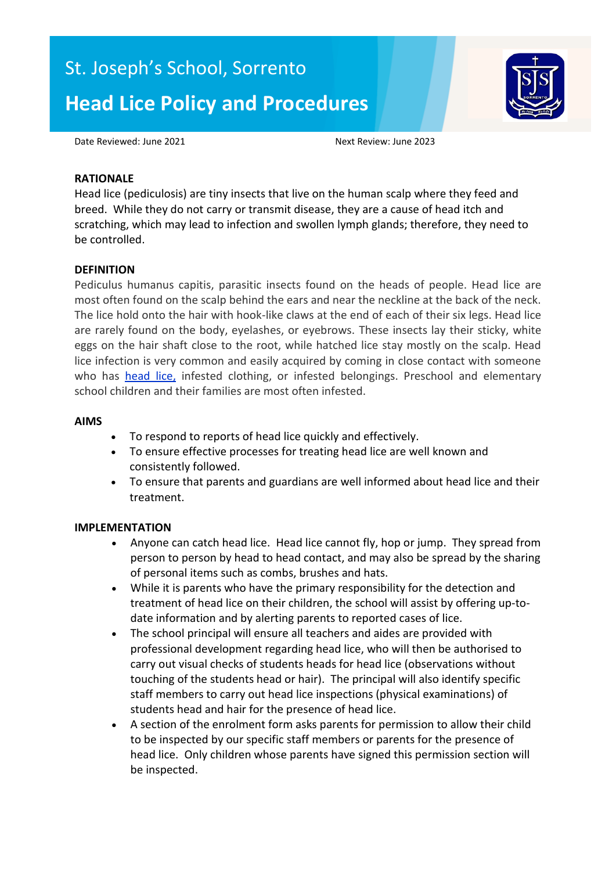# St. Joseph's School, Sorrento **Head Lice Policy and Procedures**



Date Reviewed: June 2021 **Next Review: June 2023** 

### **RATIONALE**

Head lice (pediculosis) are tiny insects that live on the human scalp where they feed and breed. While they do not carry or transmit disease, they are a cause of head itch and scratching, which may lead to infection and swollen lymph glands; therefore, they need to be controlled.

## **DEFINITION**

Pediculus humanus capitis, parasitic insects found on the heads of people. Head lice are most often found on the scalp behind the ears and near the neckline at the back of the neck. The lice hold onto the hair with hook-like claws at the end of each of their six legs. Head lice are rarely found on the body, eyelashes, or eyebrows. These insects lay their sticky, white eggs on the hair shaft close to the root, while hatched lice stay mostly on the scalp. Head lice infection is very common and easily acquired by coming in close contact with someone who has [head lice,](http://www.medterms.com/script/main/art.asp?articlekey=8296) infested clothing, or infested belongings. Preschool and elementary school children and their families are most often infested.

#### **AIMS**

- To respond to reports of head lice quickly and effectively.
- To ensure effective processes for treating head lice are well known and consistently followed.
- To ensure that parents and guardians are well informed about head lice and their treatment.

## **IMPLEMENTATION**

- Anyone can catch head lice. Head lice cannot fly, hop or jump. They spread from person to person by head to head contact, and may also be spread by the sharing of personal items such as combs, brushes and hats.
- While it is parents who have the primary responsibility for the detection and treatment of head lice on their children, the school will assist by offering up-todate information and by alerting parents to reported cases of lice.
- The school principal will ensure all teachers and aides are provided with professional development regarding head lice, who will then be authorised to carry out visual checks of students heads for head lice (observations without touching of the students head or hair). The principal will also identify specific staff members to carry out head lice inspections (physical examinations) of students head and hair for the presence of head lice.
- A section of the enrolment form asks parents for permission to allow their child to be inspected by our specific staff members or parents for the presence of head lice. Only children whose parents have signed this permission section will be inspected.